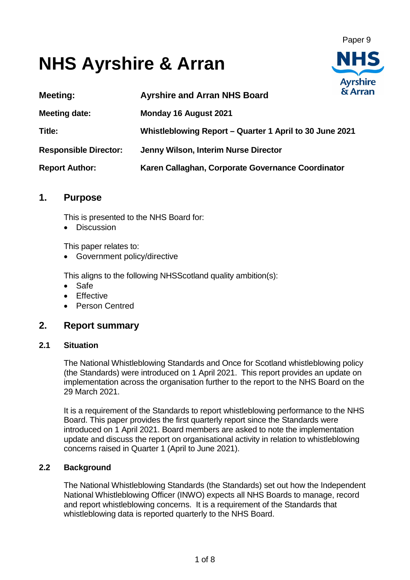Paper 9

**Avrshire** 

# **NHS Ayrshire & Arran**

| <b>Meeting:</b>              | <b>Ayrshire and Arran NHS Board</b>                     | & Arran |
|------------------------------|---------------------------------------------------------|---------|
| <b>Meeting date:</b>         | Monday 16 August 2021                                   |         |
| Title:                       | Whistleblowing Report - Quarter 1 April to 30 June 2021 |         |
| <b>Responsible Director:</b> | Jenny Wilson, Interim Nurse Director                    |         |
| <b>Report Author:</b>        | Karen Callaghan, Corporate Governance Coordinator       |         |

# **1. Purpose**

This is presented to the NHS Board for:

• Discussion

This paper relates to:

• Government policy/directive

This aligns to the following NHSScotland quality ambition(s):

- Safe
- Effective
- Person Centred

# **2. Report summary**

#### **2.1 Situation**

The National Whistleblowing Standards and Once for Scotland whistleblowing policy (the Standards) were introduced on 1 April 2021. This report provides an update on implementation across the organisation further to the report to the NHS Board on the 29 March 2021.

It is a requirement of the Standards to report whistleblowing performance to the NHS Board. This paper provides the first quarterly report since the Standards were introduced on 1 April 2021. Board members are asked to note the implementation update and discuss the report on organisational activity in relation to whistleblowing concerns raised in Quarter 1 (April to June 2021).

# **2.2 Background**

The National Whistleblowing Standards (the Standards) set out how the Independent National Whistleblowing Officer (INWO) expects all NHS Boards to manage, record and report whistleblowing concerns. It is a requirement of the Standards that whistleblowing data is reported quarterly to the NHS Board.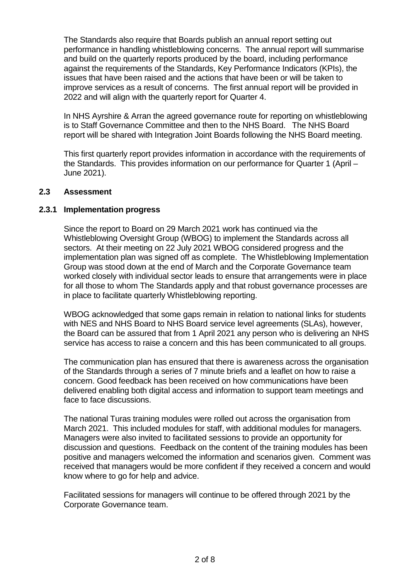The Standards also require that Boards publish an annual report setting out performance in handling whistleblowing concerns. The annual report will summarise and build on the quarterly reports produced by the board, including performance against the requirements of the Standards, Key Performance Indicators (KPIs), the issues that have been raised and the actions that have been or will be taken to improve services as a result of concerns. The first annual report will be provided in 2022 and will align with the quarterly report for Quarter 4.

In NHS Ayrshire & Arran the agreed governance route for reporting on whistleblowing is to Staff Governance Committee and then to the NHS Board. The NHS Board report will be shared with Integration Joint Boards following the NHS Board meeting.

This first quarterly report provides information in accordance with the requirements of the Standards. This provides information on our performance for Quarter 1 (April – June 2021).

#### **2.3 Assessment**

#### **2.3.1 Implementation progress**

Since the report to Board on 29 March 2021 work has continued via the Whistleblowing Oversight Group (WBOG) to implement the Standards across all sectors. At their meeting on 22 July 2021 WBOG considered progress and the implementation plan was signed off as complete. The Whistleblowing Implementation Group was stood down at the end of March and the Corporate Governance team worked closely with individual sector leads to ensure that arrangements were in place for all those to whom The Standards apply and that robust governance processes are in place to facilitate quarterly Whistleblowing reporting.

WBOG acknowledged that some gaps remain in relation to national links for students with NES and NHS Board to NHS Board service level agreements (SLAs), however, the Board can be assured that from 1 April 2021 any person who is delivering an NHS service has access to raise a concern and this has been communicated to all groups.

The communication plan has ensured that there is awareness across the organisation of the Standards through a series of 7 minute briefs and a leaflet on how to raise a concern. Good feedback has been received on how communications have been delivered enabling both digital access and information to support team meetings and face to face discussions.

The national Turas training modules were rolled out across the organisation from March 2021. This included modules for staff, with additional modules for managers. Managers were also invited to facilitated sessions to provide an opportunity for discussion and questions. Feedback on the content of the training modules has been positive and managers welcomed the information and scenarios given. Comment was received that managers would be more confident if they received a concern and would know where to go for help and advice.

Facilitated sessions for managers will continue to be offered through 2021 by the Corporate Governance team.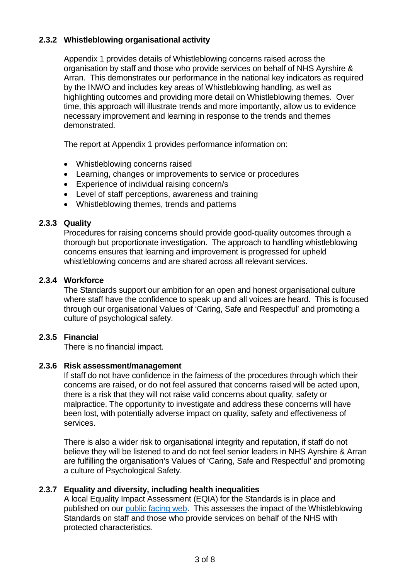# **2.3.2 Whistleblowing organisational activity**

Appendix 1 provides details of Whistleblowing concerns raised across the organisation by staff and those who provide services on behalf of NHS Ayrshire & Arran. This demonstrates our performance in the national key indicators as required by the INWO and includes key areas of Whistleblowing handling, as well as highlighting outcomes and providing more detail on Whistleblowing themes. Over time, this approach will illustrate trends and more importantly, allow us to evidence necessary improvement and learning in response to the trends and themes demonstrated.

The report at Appendix 1 provides performance information on:

- Whistleblowing concerns raised
- Learning, changes or improvements to service or procedures
- Experience of individual raising concern/s
- Level of staff perceptions, awareness and training
- Whistleblowing themes, trends and patterns

# **2.3.3 Quality**

Procedures for raising concerns should provide good-quality outcomes through a thorough but proportionate investigation. The approach to handling whistleblowing concerns ensures that learning and improvement is progressed for upheld whistleblowing concerns and are shared across all relevant services.

# **2.3.4 Workforce**

The Standards support our ambition for an open and honest organisational culture where staff have the confidence to speak up and all voices are heard. This is focused through our organisational Values of 'Caring, Safe and Respectful' and promoting a culture of psychological safety.

# **2.3.5 Financial**

There is no financial impact.

#### **2.3.6 Risk assessment/management**

If staff do not have confidence in the fairness of the procedures through which their concerns are raised, or do not feel assured that concerns raised will be acted upon, there is a risk that they will not raise valid concerns about quality, safety or malpractice. The opportunity to investigate and address these concerns will have been lost, with potentially adverse impact on quality, safety and effectiveness of services.

There is also a wider risk to organisational integrity and reputation, if staff do not believe they will be listened to and do not feel senior leaders in NHS Ayrshire & Arran are fulfilling the organisation's Values of 'Caring, Safe and Respectful' and promoting a culture of Psychological Safety.

# **2.3.7 Equality and diversity, including health inequalities**

A local Equality Impact Assessment (EQIA) for the Standards is in place and published on our [public facing web.](https://www.nhsaaa.net/media/11048/21-05-26-eqia-whistleblowing-policy-v011.pdf) This assesses the impact of the Whistleblowing Standards on staff and those who provide services on behalf of the NHS with protected characteristics.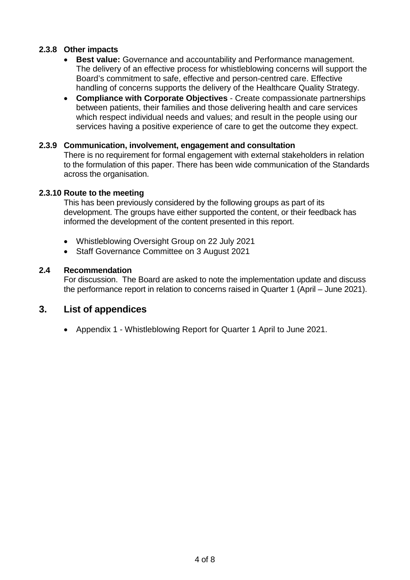# **2.3.8 Other impacts**

- **Best value:** Governance and accountability and Performance management. The delivery of an effective process for whistleblowing concerns will support the Board's commitment to safe, effective and person-centred care. Effective handling of concerns supports the delivery of the Healthcare Quality Strategy.
- **Compliance with Corporate Objectives** Create compassionate partnerships between patients, their families and those delivering health and care services which respect individual needs and values; and result in the people using our services having a positive experience of care to get the outcome they expect.

#### **2.3.9 Communication, involvement, engagement and consultation**

There is no requirement for formal engagement with external stakeholders in relation to the formulation of this paper. There has been wide communication of the Standards across the organisation.

#### **2.3.10 Route to the meeting**

This has been previously considered by the following groups as part of its development. The groups have either supported the content, or their feedback has informed the development of the content presented in this report.

- Whistleblowing Oversight Group on 22 July 2021
- Staff Governance Committee on 3 August 2021

#### **2.4 Recommendation**

For discussion. The Board are asked to note the implementation update and discuss the performance report in relation to concerns raised in Quarter 1 (April – June 2021).

# **3. List of appendices**

• Appendix 1 - Whistleblowing Report for Quarter 1 April to June 2021.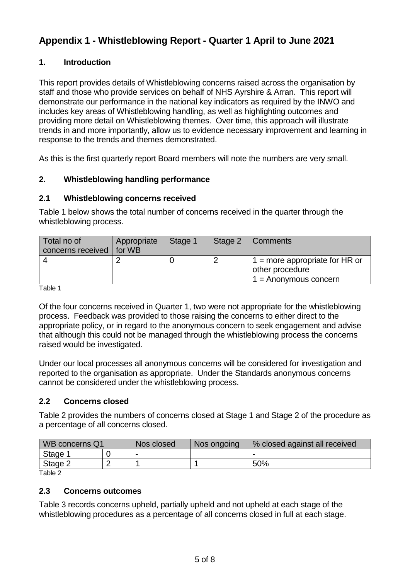# **Appendix 1 - Whistleblowing Report - Quarter 1 April to June 2021**

# **1. Introduction**

This report provides details of Whistleblowing concerns raised across the organisation by staff and those who provide services on behalf of NHS Ayrshire & Arran. This report will demonstrate our performance in the national key indicators as required by the INWO and includes key areas of Whistleblowing handling, as well as highlighting outcomes and providing more detail on Whistleblowing themes. Over time, this approach will illustrate trends in and more importantly, allow us to evidence necessary improvement and learning in response to the trends and themes demonstrated.

As this is the first quarterly report Board members will note the numbers are very small.

# **2. Whistleblowing handling performance**

# **2.1 Whistleblowing concerns received**

Table 1 below shows the total number of concerns received in the quarter through the whistleblowing process.

| Total no of<br>concerns received   for WB | Appropriate | Stage 1 | Stage 2   Comments                                                                       |
|-------------------------------------------|-------------|---------|------------------------------------------------------------------------------------------|
|                                           |             |         | $\frac{1}{1}$ = more appropriate for HR or<br>other procedure<br>$1 =$ Anonymous concern |

Table 1

Of the four concerns received in Quarter 1, two were not appropriate for the whistleblowing process. Feedback was provided to those raising the concerns to either direct to the appropriate policy, or in regard to the anonymous concern to seek engagement and advise that although this could not be managed through the whistleblowing process the concerns raised would be investigated.

Under our local processes all anonymous concerns will be considered for investigation and reported to the organisation as appropriate. Under the Standards anonymous concerns cannot be considered under the whistleblowing process.

#### **2.2 Concerns closed**

Table 2 provides the numbers of concerns closed at Stage 1 and Stage 2 of the procedure as a percentage of all concerns closed.

| WB concerns Q1 | Nos closed               | Nos ongoing | % closed against all received |
|----------------|--------------------------|-------------|-------------------------------|
| Stage 1        | $\overline{\phantom{a}}$ |             | $\overline{\phantom{0}}$      |
| Stage 2        |                          |             | 50%                           |

Table 2

#### **2.3 Concerns outcomes**

Table 3 records concerns upheld, partially upheld and not upheld at each stage of the whistleblowing procedures as a percentage of all concerns closed in full at each stage.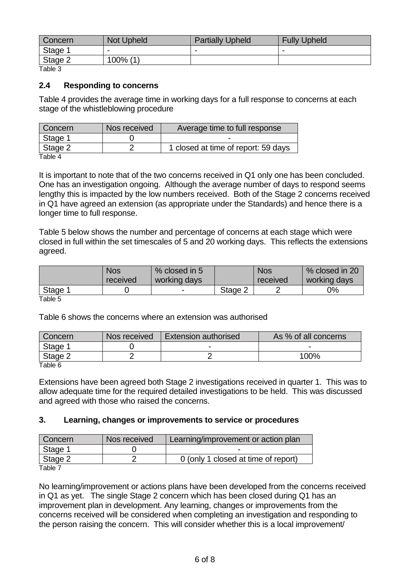| <b>Concern</b> | <b>Not Upheld</b> | <b>Partially Upheld</b> | <b>Fully Upheld</b> |
|----------------|-------------------|-------------------------|---------------------|
| Stage 1        | -                 | ۰                       |                     |
| Stage 2        | 100% (1)          |                         |                     |

Table 3

#### **2.4 Responding to concerns**

Table 4 provides the average time in working days for a full response to concerns at each stage of the whistleblowing procedure

| Concern         | Nos received | Average time to full response       |
|-----------------|--------------|-------------------------------------|
| Stage 1         |              |                                     |
| $\vert$ Stage 2 |              | 1 closed at time of report: 59 days |
| $T - L = 1$     |              |                                     |

Table 4

It is important to note that of the two concerns received in Q1 only one has been concluded. One has an investigation ongoing. Although the average number of days to respond seems lengthy this is impacted by the low numbers received. Both of the Stage 2 concerns received in Q1 have agreed an extension (as appropriate under the Standards) and hence there is a longer time to full response.

Table 5 below shows the number and percentage of concerns at each stage which were closed in full within the set timescales of 5 and 20 working days. This reflects the extensions agreed.

|              | <b>Nos</b><br>received | % closed in 5<br>working days |         | <b>Nos</b><br>received | % closed in 20<br>working days |
|--------------|------------------------|-------------------------------|---------|------------------------|--------------------------------|
| Stage 1      |                        | -                             | Stage 2 |                        | 0%                             |
| $T$ oblo $F$ |                        |                               |         |                        |                                |

Table 5

Table 6 shows the concerns where an extension was authorised

| Concern | Nos received | <b>Extension authorised</b> | As % of all concerns |
|---------|--------------|-----------------------------|----------------------|
| Stage   |              |                             |                      |
| Stage 2 |              |                             | 100%                 |

Table 6

Extensions have been agreed both Stage 2 investigations received in quarter 1. This was to allow adequate time for the required detailed investigations to be held. This was discussed and agreed with those who raised the concerns.

#### **3. Learning, changes or improvements to service or procedures**

| Concern                    | Nos received | Learning/improvement or action plan |
|----------------------------|--------------|-------------------------------------|
| Stage 1                    |              |                                     |
| Stage 2                    |              | 0 (only 1 closed at time of report) |
| $T_0$ $h_0$ $\overline{7}$ |              |                                     |

Table 7

No learning/improvement or actions plans have been developed from the concerns received in Q1 as yet. The single Stage 2 concern which has been closed during Q1 has an improvement plan in development. Any learning, changes or improvements from the concerns received will be considered when completing an investigation and responding to the person raising the concern. This will consider whether this is a local improvement/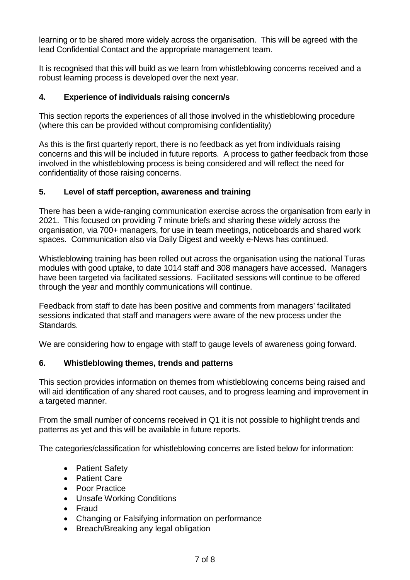learning or to be shared more widely across the organisation. This will be agreed with the lead Confidential Contact and the appropriate management team.

It is recognised that this will build as we learn from whistleblowing concerns received and a robust learning process is developed over the next year.

# **4. Experience of individuals raising concern/s**

This section reports the experiences of all those involved in the whistleblowing procedure (where this can be provided without compromising confidentiality)

As this is the first quarterly report, there is no feedback as yet from individuals raising concerns and this will be included in future reports. A process to gather feedback from those involved in the whistleblowing process is being considered and will reflect the need for confidentiality of those raising concerns.

# **5. Level of staff perception, awareness and training**

There has been a wide-ranging communication exercise across the organisation from early in 2021. This focused on providing 7 minute briefs and sharing these widely across the organisation, via 700+ managers, for use in team meetings, noticeboards and shared work spaces. Communication also via Daily Digest and weekly e-News has continued.

Whistleblowing training has been rolled out across the organisation using the national Turas modules with good uptake, to date 1014 staff and 308 managers have accessed. Managers have been targeted via facilitated sessions. Facilitated sessions will continue to be offered through the year and monthly communications will continue.

Feedback from staff to date has been positive and comments from managers' facilitated sessions indicated that staff and managers were aware of the new process under the Standards.

We are considering how to engage with staff to gauge levels of awareness going forward.

# **6. Whistleblowing themes, trends and patterns**

This section provides information on themes from whistleblowing concerns being raised and will aid identification of any shared root causes, and to progress learning and improvement in a targeted manner.

From the small number of concerns received in Q1 it is not possible to highlight trends and patterns as yet and this will be available in future reports.

The categories/classification for whistleblowing concerns are listed below for information:

- Patient Safety
- Patient Care
- Poor Practice
- Unsafe Working Conditions
- Fraud
- Changing or Falsifying information on performance
- Breach/Breaking any legal obligation